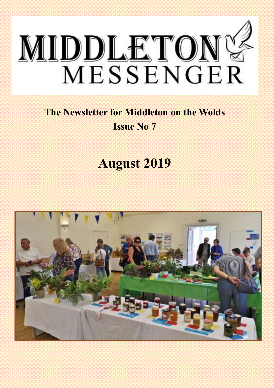

## **The Newsletter for Middleton on the Wolds Issue No 7**

# **August 2019**

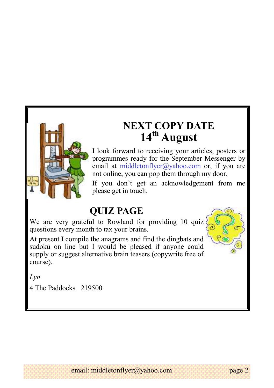

## **NEXT COPY DATE 14th August**

I look forward to receiving your articles, posters or programmes ready for the September Messenger by email at middletonflyer@yahoo.com or, if you are not online, you can pop them through my door.

If you don't get an acknowledgement from me please get in touch.

### **QUIZ PAGE**

We are very grateful to Rowland for providing 10 quiz questions every month to tax your brains.

At present I compile the anagrams and find the dingbats and sudoku on line but I would be pleased if anyone could supply or suggest alternative brain teasers (copywrite free of course).



*Lyn* 

 4 The Paddocks 219500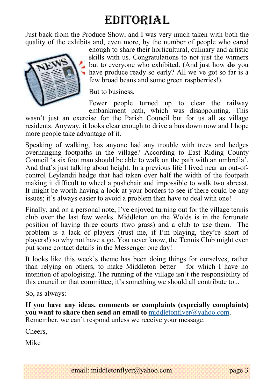# EDITORIAL

Just back from the Produce Show, and I was very much taken with both the quality of the exhibits and, even more, by the number of people who cared



enough to share their horticultural, culinary and artistic skills with us. Congratulations to not just the winners but to everyone who exhibited. (And just how **do** you have produce ready so early? All we've got so far is a few broad beans and some green raspberries!).

But to business.

Fewer people turned up to clear the railway embankment path, which was disappointing. This

wasn't just an exercise for the Parish Council but for us all as village residents. Anyway, it looks clear enough to drive a bus down now and I hope more people take advantage of it.

Speaking of walking, has anyone had any trouble with trees and hedges overhanging footpaths in the village? According to East Riding County Council 'a six foot man should be able to walk on the path with an umbrella'. And that's just talking about height. In a previous life I lived near an out-ofcontrol Leylandii hedge that had taken over half the width of the footpath making it difficult to wheel a pushchair and impossible to walk two abreast. It might be worth having a look at your borders to see if there could be any issues; it's always easier to avoid a problem than have to deal with one!

Finally, and on a personal note, I've enjoyed turning out for the village tennis club over the last few weeks. Middleton on the Wolds is in the fortunate position of having three courts (two grass) and a club to use them. The problem is a lack of players (trust me, if I'm playing, they're short of players!) so why not have a go. You never know, the Tennis Club might even put some contact details in the Messenger one day!

It looks like this week's theme has been doing things for ourselves, rather than relying on others, to make Middleton better – for which I have no intention of apologising. The running of the village isn't the responsibility of this council or that committee; it's something we should all contribute to...

So, as always:

**If you have any ideas, comments or complaints (especially complaints) you want to share then send an email to** [middletonflyer@yahoo.com.](mailto:middletonflyer@yahoo.com) Remember, we can't respond unless we receive your message.

Cheers,

Mike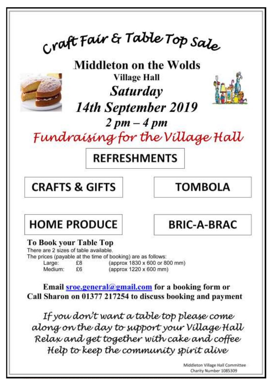<sub>Cr</sub>aft Fair & Table Top Sale

**Middleton on the Wolds Village Hall** 



**Saturday** 14th September 2019



 $2pm-4pm$ 

Fundraising for the Village Hall

## **REFRESHMENTS**

**CRAFTS & GIFTS** 

**TOMBOLA** 

## **HOME PRODUCE**

**BRIC-A-BRAC** 

#### **To Book your Table Top**

There are 2 sizes of table available.

The prices (payable at the time of booking) are as follows:

Large: £8 (approx 1830 x 600 or 800 mm) Medium:  $F6$ (approx 1220 x 600 mm)

Email sroe.general@gmail.com for a booking form or Call Sharon on 01377 217254 to discuss booking and payment

If you don't want a table top please come along on the day to support your Village Hall Relax and get together with cake and coffee Help to keep the community spirit alive

Middleton Village Hall Committee<br>Charity Number 1085309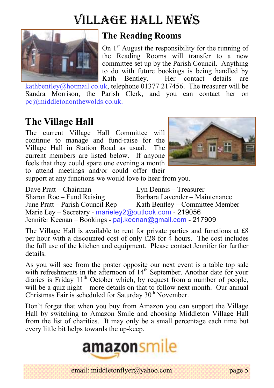# Village hall news



#### **The Reading Rooms**

On  $1<sup>st</sup>$  August the responsibility for the running of the Reading Rooms will transfer to a new committee set up by the Parish Council. Anything to do with future bookings is being handled by Kath Bentley. Her contact details are

kathbentley@hotmail.co.uk, telephone 01377 217456. The treasurer will be Sandra Morrison, the Parish Clerk, and you can contact her on pc@middletononthewolds.co.uk.

### **The Village Hall**

The current Village Hall Committee will continue to manage and fund-raise for the Village Hall in Station Road as usual. The current members are listed below. If anyone feels that they could spare one evening a month to attend meetings and/or could offer their



support at any functions we would love to hear from you.

Dave Pratt – Chairman Lyn Dennis – Treasurer Sharon Roe – Fund Raising Barbara Lavender – Maintenance June Pratt – Parish Council Rep Kath Bentley – Committee Member Marie Ley – Secretary - marieley2@outlook.com - 219056 Jennifer Keenan – Bookings - paj.keenan@gmail.com - 217909

The Village Hall is available to rent for private parties and functions at £8 per hour with a discounted cost of only  $\hat{E}28$  for  $\hat{4}$  hours. The cost includes the full use of the kitchen and equipment. Please contact Jennifer for further details.

As you will see from the poster opposite our next event is a table top sale with refreshments in the afternoon of  $14<sup>th</sup>$  September. Another date for your diaries is Friday  $11<sup>th</sup>$  October which, by request from a number of people, will be a quiz night – more details on that to follow next month. Our annual Christmas Fair is scheduled for Saturday  $30<sup>th</sup>$  November.

Don't forget that when you buy from Amazon you can support the Village Hall by switching to Amazon Smile and choosing Middleton Village Hall from the list of charities. It may only be a small percentage each time but every little bit helps towards the up-keep.



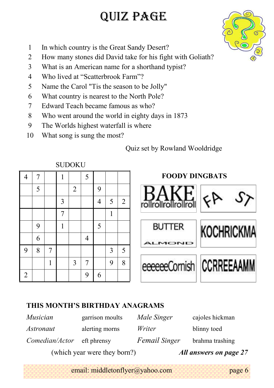# QUIZ PAGE

- 1 In which country is the Great Sandy Desert?
- 2 How many stones did David take for his fight with Goliath?
- 3 What is an American name for a shorthand typist?
- 4 Who lived at "Scatterbrook Farm"?
- 5 Name the Carol "Tis the season to be Jolly"
- 6 What country is nearest to the North Pole?
- 7 Edward Teach became famous as who?
- 8 Who went around the world in eighty days in 1873
- 9 The Worlds highest waterfall is where
- 10 What song is sung the most?

#### Quiz set by Rowland Wooldridge

**FOODY DINGBATS**

|                | 5 |   |   | $\overline{2}$ |   | 9 |   |   |                                   |
|----------------|---|---|---|----------------|---|---|---|---|-----------------------------------|
|                |   |   | 3 |                |   | 4 | 5 | 2 | S><br>FA<br>rollrollrollroll      |
|                |   |   | 7 |                |   |   | 1 |   |                                   |
|                | 9 |   |   |                |   | 5 |   |   | <b>BUTTER</b><br><b>KOCHRICKM</b> |
|                | 6 |   |   |                | 4 |   |   |   | MOND                              |
| 9              | 8 | 7 |   |                |   |   | 3 | 5 |                                   |
|                |   |   |   | 3              | 7 |   | 9 | 8 | eeeeeeCornish CCRREEAAMM          |
| $\overline{2}$ |   |   |   |                | 9 | 6 |   |   |                                   |
|                |   |   |   |                |   |   |   |   |                                   |
|                |   |   |   |                |   |   |   |   |                                   |

#### **SUDOKU**

4 7 1 1 5

#### **THIS MONTH'S BIRTHDAY ANAGRAMS**

|                 | (which year were they born?) |               | All answers on page 27 |
|-----------------|------------------------------|---------------|------------------------|
| Comedian/Actor  | eft phrensy                  | Femail Singer | brahma trashing        |
| Astronaut       | alerting morns               | Writer        | blinny toed            |
| <i>Musician</i> | garrison moults              | Male Singer   | cajoles hickman        |

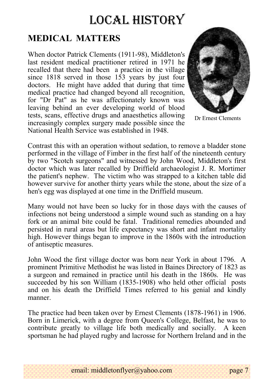# LOCAL HISTORY

### **MEDICAL MATTERS**

When doctor Patrick Clements (1911-98), Middleton's last resident medical practitioner retired in 1971 he recalled that there had been a practice in the village since 1818 served in those 153 years by just four doctors. He might have added that during that time medical practice had changed beyond all recognition, for "Dr Pat" as he was affectionately known was leaving behind an ever developing world of blood tests, scans, effective drugs and anaesthetics allowing increasingly complex surgery made possible since the National Health Service was established in 1948.



Dr Ernest Clements

Contrast this with an operation without sedation, to remove a bladder stone performed in the village of Fimber in the first half of the nineteenth century by two "Scotch surgeons" and witnessed by John Wood, Middleton's first doctor which was later recalled by Driffield archaeologist J. R. Mortimer the patient's nephew. The victim who was strapped to a kitchen table did however survive for another thirty years while the stone, about the size of a hen's egg was displayed at one time in the Driffield museum.

Many would not have been so lucky for in those days with the causes of infections not being understood a simple wound such as standing on a hay fork or an animal bite could be fatal. Traditional remedies abounded and persisted in rural areas but life expectancy was short and infant mortality high. However things began to improve in the 1860s with the introduction of antiseptic measures.

John Wood the first village doctor was born near York in about 1796. A prominent Primitive Methodist he was listed in Baines Directory of 1823 as a surgeon and remained in practice until his death in the 1860s. He was succeeded by his son William (1835-1908) who held other official posts and on his death the Driffield Times referred to his genial and kindly manner.

The practice had been taken over by Ernest Clements (1878-1961) in 1906. Born in Limerick, with a degree from Queen's College, Belfast, he was to contribute greatly to village life both medically and socially. A keen sportsman he had played rugby and lacrosse for Northern Ireland and in the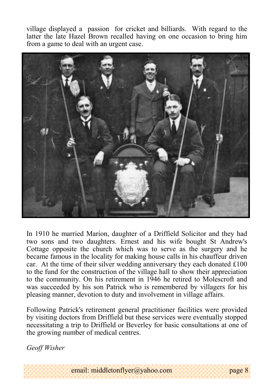village displayed a passion for cricket and billiards. With regard to the latter the late Hazel Brown recalled having on one occasion to bring him from a game to deal with an urgent case.



In 1910 he married Marion, daughter of a Driffield Solicitor and they had two sons and two daughters. Ernest and his wife bought St Andrew's Cottage opposite the church which was to serve as the surgery and he became famous in the locality for making house calls in his chauffeur driven car. At the time of their silver wedding anniversary they each donated £100 to the fund for the construction of the village hall to show their appreciation to the community. On his retirement in 1946 he retired to Molescroft and was succeeded by his son Patrick who is remembered by villagers for his pleasing manner, devotion to duty and involvement in village affairs.

Following Patrick's retirement general practitioner facilities were provided by visiting doctors from Driffield but these services were eventually stopped necessitating a trip to Driffield or Beverley for basic consultations at one of the growing number of medical centres.

*Geoff Wisher*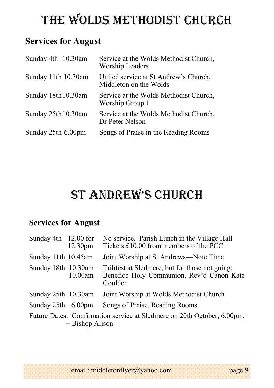# The wolds METHODIST CHURCH

### **Services for August**

| Sunday 4th 10.30am  | Service at the Wolds Methodist Church,<br>Worship Leaders       |
|---------------------|-----------------------------------------------------------------|
| Sunday 11th 10.30am | United service at St Andrew's Church,<br>Middleton on the Wolds |
| Sunday 18th 10.30am | Service at the Wolds Methodist Church,<br>Worship Group 1       |
| Sunday 25th 10.30am | Service at the Wolds Methodist Church,<br>Dr Peter Nelson       |
| Sunday 25th 6.00pm  | Songs of Praise in the Reading Rooms                            |

# St Andrew'S church

### **Services for August**

| Sunday 4th 12.00 for | 12.30 <sub>pm</sub> | No service. Parish Lunch in the Village Hall<br>Tickets £10.00 from members of the PCC                 |
|----------------------|---------------------|--------------------------------------------------------------------------------------------------------|
| Sunday 11th 10.45am  |                     | Joint Worship at St Andrews—Note Time                                                                  |
| Sunday 18th 10.30am  | 10.00am             | Tribfest at Sledmere, but for those not going:<br>Benefice Holy Communion, Rev'd Canon Kate<br>Goulder |
| Sunday 25th 10.30am  |                     | Joint Worship at Wolds Methodist Church                                                                |
| Sunday 25th 6.00pm   |                     | Songs of Praise, Reading Rooms                                                                         |
|                      | $+$ Bishop Alison   | Future Dates: Confirmation service at Sledmere on 20th October, 6.00pm,                                |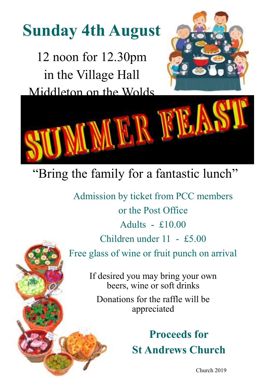# **Sunday 4th August**

12 noon for 12.30pm in the Village Hall Middleton on the Wolds





# "Bring the family for a fantastic lunch"

Admission by ticket from PCC members or the Post Office Adults  $- f10.00$ Children under 11 - £5.00 Free glass of wine or fruit punch on arrival

If desired you may bring your own beers, wine or soft drinks

Donations for the raffle will be appreciated

> **Proceeds for St Andrews Church**

email: middletonflyer church 2019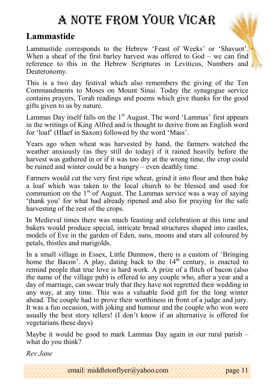# A note from your vicar

### **Lammastide**

Lammastide corresponds to the Hebrew 'Feast of Weeks' or 'Shavuot'. When a sheaf of the first barley harvest was offered to God – we can find reference to this in the Hebrew Scriptures in Leviticus, Numbers and Deuteronomy.

This is a two day festival which also remembers the giving of the Ten Commandments to Moses on Mount Sinai. Today the synagogue service contains prayers, Torah readings and poems which give thanks for the good gifts given to us by nature.

Lammas Day itself falls on the  $1<sup>st</sup>$  August. The word 'Lammas' first appears in the writings of King Alfred and is thought to derive from an English word for 'loaf' (Hlaef in Saxon) followed by the word 'Mass'.

Years ago when wheat was harvested by hand, the farmers watched the weather anxiously (as they still do today) if it rained heavily before the harvest was gathered in or if it was too dry at the wrong time, the crop could be ruined and winter could be a hungry – even deathly time.

Farmers would cut the very first ripe wheat, grind it into flour and then bake a loaf which was taken to the local church to be blessed and used for communion on the  $1<sup>st</sup>$  of August. The Lammas service was a way of saying 'thank you' for what had already ripened and also for praying for the safe harvesting of the rest of the crops.

In Medieval times there was much feasting and celebration at this time and bakers would produce special, intricate bread structures shaped into castles, models of Eve in the garden of Eden, suns, moons and stars all coloured by petals, thistles and marigolds.

In a small village in Essex, Little Dunmow, there is a custom of 'Bringing home the Bacon'. A play, dating back to the  $14<sup>th</sup>$  century, is enacted to remind people that true love is hard work. A prize of a flitch of bacon (also the name of the village pub) is offered to any couple who, after a year and a day of marriage, can swear truly that they have not regretted their wedding in any way, at any time. This was a valuable food gift for the long winter ahead. The couple had to prove their worthiness in front of a judge and jury. It was a fun occasion, with joking and humour and the couple who won were usually the best story tellers! (I don't know if an alternative is offered for vegetarians these days)

Maybe it would be good to mark Lammas Day again in our rural parish – what do you think?

*Rev Jane*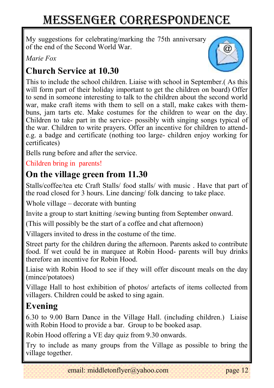# Messenger correspondence

My suggestions for celebrating/marking the 75th anniversary of the end of the Second World War.

*Marie Fox*

### **Church Service at 10.30**



This to include the school children. Liaise with school in September.( As this will form part of their holiday important to get the children on board) Offer to send in someone interesting to talk to the children about the second world war, make craft items with them to sell on a stall, make cakes with thembuns, jam tarts etc. Make costumes for the children to wear on the day. Children to take part in the service- possibly with singing songs typical of the war. Children to write prayers. Offer an incentive for children to attende.g. a badge and certificate (nothing too large- children enjoy working for certificates)

Bells rung before and after the service.

#### Children bring in parents!

### **On the village green from 11.30**

Stalls/coffee/tea etc Craft Stalls/ food stalls/ with music . Have that part of the road closed for 3 hours. Line dancing/ folk dancing to take place.

Whole village – decorate with bunting

Invite a group to start knitting /sewing bunting from September onward.

(This will possibly be the start of a coffee and chat afternoon)

Villagers invited to dress in the costume of the time.

Street party for the children during the afternoon. Parents asked to contribute food. If wet could be in marquee at Robin Hood- parents will buy drinks therefore an incentive for Robin Hood.

Liaise with Robin Hood to see if they will offer discount meals on the day (mince/potatoes)

Village Hall to host exhibition of photos/ artefacts of items collected from villagers. Children could be asked to sing again.

### **Evening**

6.30 to 9.00 Barn Dance in the Village Hall. (including children.) Liaise with Robin Hood to provide a bar. Group to be booked asap.

Robin Hood offering a VE day quiz from 9.30 onwards.

Try to include as many groups from the Village as possible to bring the village together.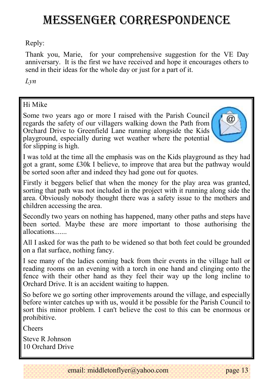## Messenger correspondence

Reply:

Thank you, Marie, for your comprehensive suggestion for the VE Day anniversary. It is the first we have received and hope it encourages others to send in their ideas for the whole day or just for a part of it.

*Lyn* 

#### Hi Mike

Some two years ago or more I raised with the Parish Council regards the safety of our villagers walking down the Path from Orchard Drive to Greenfield Lane running alongside the Kids playground, especially during wet weather where the potential for slipping is high.



I was told at the time all the emphasis was on the Kids playground as they had got a grant, some £30k I believe, to improve that area but the pathway would be sorted soon after and indeed they had gone out for quotes.

Firstly it beggers belief that when the money for the play area was granted, sorting that path was not included in the project with it running along side the area. Obviously nobody thought there was a safety issue to the mothers and children accessing the area.

Secondly two years on nothing has happened, many other paths and steps have been sorted. Maybe these are more important to those authorising the allocations.......

All I asked for was the path to be widened so that both feet could be grounded on a flat surface, nothing fancy.

I see many of the ladies coming back from their events in the village hall or reading rooms on an evening with a torch in one hand and clinging onto the fence with their other hand as they feel their way up the long incline to Orchard Drive. It is an accident waiting to happen.

So before we go sorting other improvements around the village, and especially before winter catches up with us, would it be possible for the Parish Council to sort this minor problem. I can't believe the cost to this can be enormous or prohibitive.

Cheers

Steve R Johnson 10 Orchard Drive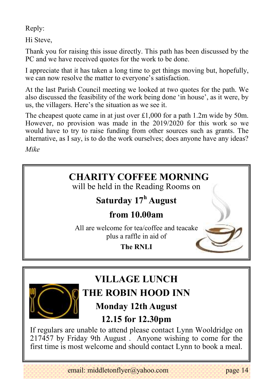Reply:

Hi Steve,

Thank you for raising this issue directly. This path has been discussed by the PC and we have received quotes for the work to be done.

I appreciate that it has taken a long time to get things moving but, hopefully, we can now resolve the matter to everyone's satisfaction.

At the last Parish Council meeting we looked at two quotes for the path. We also discussed the feasibility of the work being done 'in house', as it were, by us, the villagers. Here's the situation as we see it.

The cheapest quote came in at just over  $\text{\pounds}1,000$  for a path 1.2m wide by 50m. However, no provision was made in the 2019/2020 for this work so we would have to try to raise funding from other sources such as grants. The alternative, as I say, is to do the work ourselves; does anyone have any ideas?

*Mike*





# **VILLAGE LUNCH**

# **THE ROBIN HOOD INN**

### **Monday 12th August**

### **12.15 for 12.30pm**

If regulars are unable to attend please contact Lynn Wooldridge on 217457 by Friday 9th August . Anyone wishing to come for the first time is most welcome and should contact Lynn to book a meal.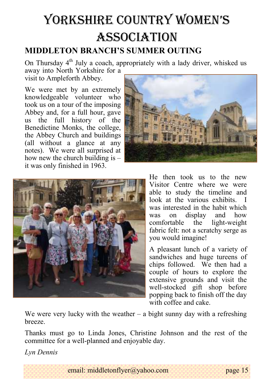# YorkShire countrY women'S **ASSOCIATION**

### **MIDDLETON BRANCH'S SUMMER OUTING**

On Thursday  $4<sup>th</sup>$  July a coach, appropriately with a lady driver, whisked us away into North Yorkshire for a

visit to Ampleforth Abbey.

We were met by an extremely knowledgeable volunteer who took us on a tour of the imposing Abbey and, for a full hour, gave us the full history of the Benedictine Monks, the college, the Abbey Church and buildings (all without a glance at any notes). We were all surprised at how new the church building is – it was only finished in 1963.





He then took us to the new Visitor Centre where we were able to study the timeline and look at the various exhibits. I was interested in the habit which was on display and how<br>comfortable the light-weight comfortable the fabric felt: not a scratchy serge as you would imagine!

A pleasant lunch of a variety of sandwiches and huge tureens of chips followed. We then had a couple of hours to explore the extensive grounds and visit the well-stocked gift shop before popping back to finish off the day with coffee and cake.

We were very lucky with the weather – a bight sunny day with a refreshing breeze.

Thanks must go to Linda Jones, Christine Johnson and the rest of the committee for a well-planned and enjoyable day.

*Lyn Dennis*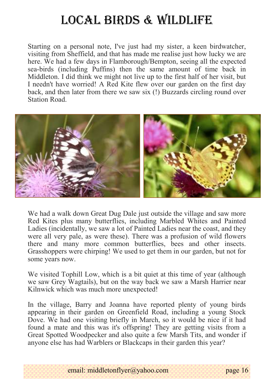# Local Birds & wildlife

Starting on a personal note, I've just had my sister, a keen birdwatcher, visiting from Sheffield, and that has made me realise just how lucky we are here. We had a few days in Flamborough/Bempton, seeing all the expected sea-birds (including Puffins) then the same amount of time back in Middleton. I did think we might not live up to the first half of her visit, but I needn't have worried! A Red Kite flew over our garden on the first day back, and then later from there we saw six (!) Buzzards circling round over Station Road.



We had a walk down Great Dug Dale just outside the village and saw more Red Kites plus many butterflies, including Marbled Whites and Painted Ladies (incidentally, we saw a lot of Painted Ladies near the coast, and they were all very pale, as were these). There was a profusion of wild flowers there and many more common butterflies, bees and other insects. Grasshoppers were chirping! We used to get them in our garden, but not for some years now.

We visited Tophill Low, which is a bit quiet at this time of year (although we saw Grey Wagtails), but on the way back we saw a Marsh Harrier near Kilnwick which was much more unexpected!

In the village, Barry and Joanna have reported plenty of young birds appearing in their garden on Greenfield Road, including a young Stock Dove. We had one visiting briefly in March, so it would be nice if it had found a mate and this was it's offspring! They are getting visits from a Great Spotted Woodpecker and also quite a few Marsh Tits, and wonder if anyone else has had Warblers or Blackcaps in their garden this year?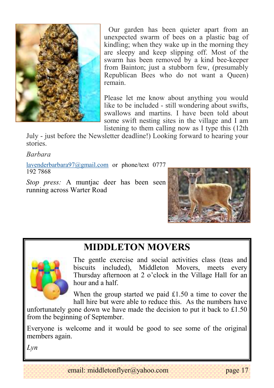

Our garden has been quieter apart from an unexpected swarm of bees on a plastic bag of kindling; when they wake up in the morning they are sleepy and keep slipping off. Most of the swarm has been removed by a kind bee-keeper from Bainton; just a stubborn few, (presumably Republican Bees who do not want a Queen) remain.

Please let me know about anything you would like to be included - still wondering about swifts, swallows and martins. I have been told about some swift nesting sites in the village and I am listening to them calling now as I type this (12th

July - just before the Newsletter deadline!) Looking forward to hearing your stories.

*Barbara*

[lavenderbarbara97@gmail.com](mailto:lavenderbarbara97@gmail.com) or phone/text 0777 192 7868

*Stop press:* A muntjac deer has been seen running across Warter Road



### **MIDDLETON MOVERS**



The gentle exercise and social activities class (teas and biscuits included), Middleton Movers, meets every Thursday afternoon at 2 o'clock in the Village Hall for an hour and a half.

When the group started we paid £1.50 a time to cover the hall hire but were able to reduce this. As the numbers have

unfortunately gone down we have made the decision to put it back to  $£1.50$ from the beginning of September.

Everyone is welcome and it would be good to see some of the original members again.

*Lyn*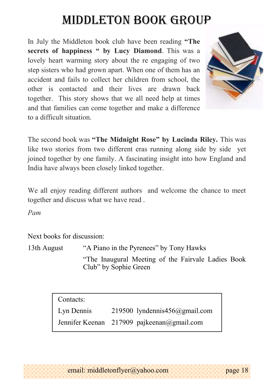# Middleton book group

In July the Middleton book club have been reading **"The secrets of happiness " by Lucy Diamond**. This was a lovely heart warming story about the re engaging of two step sisters who had grown apart. When one of them has an accident and fails to collect her children from school, the other is contacted and their lives are drawn back together. This story shows that we all need help at times and that families can come together and make a difference to a difficult situation.



The second book was **"The Midnight Rose" by Lucinda Riley.** This was like two stories from two different eras running along side by side yet joined together by one family. A fascinating insight into how England and India have always been closely linked together.

We all enjoy reading different authors and welcome the chance to meet together and discuss what we have read .

*Pam*

Next books for discussion:

13th August "A Piano in the Pyrenees" by Tony Hawks "The Inaugural Meeting of the Fairvale Ladies Book Club" by Sophie Green

> Contacts: Lyn Dennis 219500 lyndennis456@gmail.com Jennifer Keenan 217909 pajkeenan@gmail.com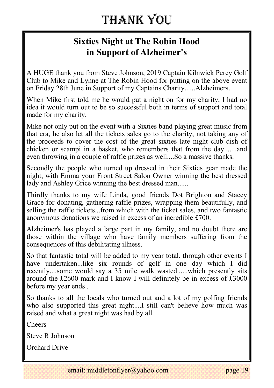### **Sixties Night at The Robin Hood in Support of Alzheimer's**

A HUGE thank you from Steve Johnson, 2019 Captain Kilnwick Percy Golf Club to Mike and Lynne at The Robin Hood for putting on the above event on Friday 28th June in Support of my Captains Charity......Alzheimers.

When Mike first told me he would put a night on for my charity, I had no idea it would turn out to be so successful both in terms of support and total made for my charity.

Mike not only put on the event with a Sixties band playing great music from that era, he also let all the tickets sales go to the charity, not taking any of the proceeds to cover the cost of the great sixties late night club dish of chicken or scampi in a basket, who remembers that from the day.......and even throwing in a couple of raffle prizes as well....So a massive thanks.

Secondly the people who turned up dressed in their Sixties gear made the night, with Emma your Front Street Salon Owner winning the best dressed lady and Ashley Grice winning the best dressed man......

Thirdly thanks to my wife Linda, good friends Dot Brighton and Stacey Grace for donating, gathering raffle prizes, wrapping them beautifully, and selling the raffle tickets...from which with the ticket sales, and two fantastic anonymous donations we raised in excess of an incredible £700.

Alzheimer's has played a large part in my family, and no doubt there are those within the village who have family members suffering from the consequences of this debilitating illness.

So that fantastic total will be added to my year total, through other events I have undertaken...like six rounds of golf in one day which I did recently....some would say a 35 mile walk wasted......which presently sits around the £2600 mark and I know I will definitely be in excess of £3000 before my year ends .

So thanks to all the locals who turned out and a lot of my golfing friends who also supported this great night....I still can't believe how much was raised and what a great night was had by all.

Cheers

Steve R Johnson

Orchard Drive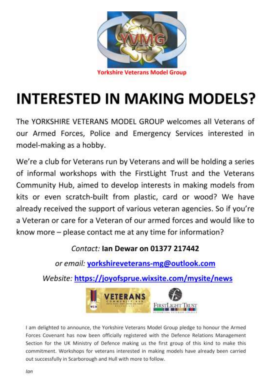

# **INTERESTED IN MAKING MODELS?**

The YORKSHIRE VETERANS MODEL GROUP welcomes all Veterans of our Armed Forces, Police and Emergency Services interested in model-making as a hobby.

We're a club for Veterans run by Veterans and will be holding a series of informal workshops with the FirstLight Trust and the Veterans Community Hub, aimed to develop interests in making models from kits or even scratch-built from plastic, card or wood? We have already received the support of various veteran agencies. So if you're a Veteran or care for a Veteran of our armed forces and would like to know more - please contact me at any time for information?

#### Contact: Jan Dewar on 01377 217442

or email: yorkshireveterans-mg@outlook.com

Website: https://joyofsprue.wixsite.com/mysite/news



I am delighted to announce, the Yorkshire Veterans Model Group pledge to honour the Armed Forces Covenant has now been officially registered with the Defence Relations Management Section for the UK Ministry of Defence making us the first group of this kind to make this commitment. Workshops for veterans interested in making models have already been carried out successfully in Scarborough and Hull with more to follow.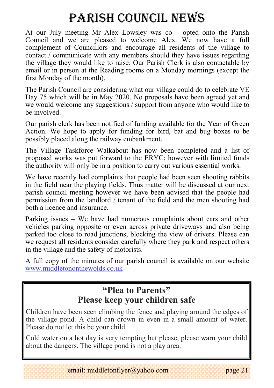# Parish council NEWS

At our July meeting Mr Alex Lowsley was co – opted onto the Parish Council and we are pleased to welcome Alex. We now have a full complement of Councillors and encourage all residents of the village to contact / communicate with any members should they have issues regarding the village they would like to raise. Our Parish Clerk is also contactable by email or in person at the Reading rooms on a Monday mornings (except the first Monday of the month).

The Parish Council are considering what our village could do to celebrate VE Day 75 which will be in May 2020. No proposals have been agreed yet and we would welcome any suggestions / support from anyone who would like to be involved.

Our parish clerk has been notified of funding available for the Year of Green Action. We hope to apply for funding for bird, bat and bug boxes to be possibly placed along the railway embankment.

The Village Taskforce Walkabout has now been completed and a list of proposed works was put forward to the ERYC; however with limited funds the authority will only be in a position to carry out various essential works.

We have recently had complaints that people had been seen shooting rabbits in the field near the playing fields. Thus matter will be discussed at our next parish council meeting however we have been advised that the people had permission from the landlord / tenant of the field and the men shooting had both a licence and insurance.

Parking issues – We have had numerous complaints about cars and other vehicles parking opposite or even across private driveways and also being parked too close to road junctions, blocking the view of drivers. Please can we request all residents consider carefully where they park and respect others in the village and the safety of motorists.

A full copy of the minutes of our parish council is available on our website [www.middletononthewolds.co.uk](http://www.middletononthewolds.co.uk)

### **"Plea to Parents" Please keep your children safe**

Children have been seen climbing the fence and playing around the edges of the village pond. A child can drown in even in a small amount of water. Please do not let this be your child.

Cold water on a hot day is very tempting but please, please warn your child about the dangers. The village pond is not a play area.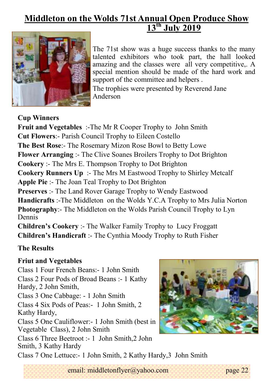### **Middleton on the Wolds 71st Annual Open Produce Show 13th July 2019**



The 71st show was a huge success thanks to the many talented exhibitors who took part, the hall looked amazing and the classes were all very competitive,. A special mention should be made of the hard work and support of the committee and helpers.

The trophies were presented by Reverend Jane Anderson

**Cup Winners** 

**Fruit and Vegetables** :-The Mr R Cooper Trophy to John Smith **Cut Flowers**:- Parish Council Trophy to Eileen Costello **The Best Rose**:- The Rosemary Mizon Rose Bowl to Betty Lowe **Flower Arranging** :- The Clive Soanes Broilers Trophy to Dot Brighton **Cookery** :- The Mrs E. Thompson Trophy to Dot Brighton **Cookery Runners Up** :- The Mrs M Eastwood Trophy to Shirley Metcalf **Apple Pie** :- The Joan Teal Trophy to Dot Brighton **Preserves** :- The Land Rover Garage Trophy to Wendy Eastwood **Handicrafts** :-The Middleton on the Wolds Y.C.A Trophy to Mrs Julia Norton **Photography**:- The Middleton on the Wolds Parish Council Trophy to Lyn Dennis

**Children's Cookery** :- The Walker Family Trophy to Lucy Froggatt **Children's Handicraft** :- The Cynthia Moody Trophy to Ruth Fisher

#### **The Results**

#### **Friut and Vegetables**

Class 1 Four French Beans:- 1 John Smith Class 2 Four Pods of Broad Beans :- 1 Kathy Hardy, 2 John Smith, Class 3 One Cabbage: - 1 John Smith Class 4 Six Pods of Peas:- 1 John Smith, 2 Kathy Hardy, Class 5 One Cauliflower:- 1 John Smith (best in Vegetable Class), 2 John Smith Class 6 Three Beetroot :- 1 John Smith,2 John Smith, 3 Kathy Hardy



Class 7 One Lettuce:- 1 John Smith, 2 Kathy Hardy,3 John Smith

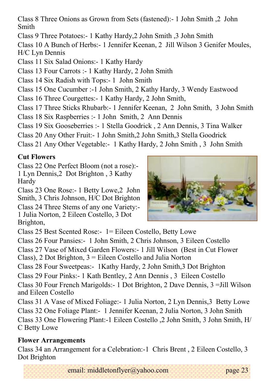Class 8 Three Onions as Grown from Sets (fastened):- 1 John Smith ,2 John Smith

Class 9 Three Potatoes:- 1 Kathy Hardy,2 John Smith ,3 John Smith

Class 10 A Bunch of Herbs:- 1 Jennifer Keenan, 2 Jill Wilson 3 Genifer Moules, H/C Lyn Dennis

Class 11 Six Salad Onions:- 1 Kathy Hardy

Class 13 Four Carrots :- 1 Kathy Hardy, 2 John Smith

Class 14 Six Radish with Tops:- 1 John Smith

Class 15 One Cucumber :-1 John Smith, 2 Kathy Hardy, 3 Wendy Eastwood

Class 16 Three Courgettes:- 1 Kathy Hardy, 2 John Smith,

Class 17 Three Sticks Rhubarb:- 1 Jennifer Keenan, 2 John Smith, 3 John Smith

Class 18 Six Raspberries :- 1 John Smith, 2 Ann Dennis

Class 19 Six Gooseberries :- 1 Stella Goodrick , 2 Ann Dennis, 3 Tina Walker

Class 20 Any Other Fruit:- 1 John Smith,2 John Smith,3 Stella Goodrick

Class 21 Any Other Vegetable:- 1 Kathy Hardy, 2 John Smith , 3 John Smith

#### **Cut Flowers**

Brighton,

Class 22 One Perfect Bloom (not a rose):- 1 Lyn Dennis,2 Dot Brighton , 3 Kathy Hardy

Class 23 One Rose:- 1 Betty Lowe,2 John Smith, 3 Chris Johnson, H/C Dot Brighton

Class 24 Three Stems of any one Variety:- 1 Julia Norton, 2 Eileen Costello, 3 Dot



Class 25 Best Scented Rose:- 1= Eileen Costello, Betty Lowe

Class 26 Four Pansies:- 1 John Smith, 2 Chris Johnson, 3 Eileen Costello

Class 27 Vase of Mixed Garden Flowers:- 1 Jill Wilson (Best in Cut Flower

Class), 2 Dot Brighton, 3 = Eileen Costello and Julia Norton

Class 28 Four Sweetpeas:- 1Kathy Hardy, 2 John Smith,3 Dot Brighton

Class 29 Four Pinks:- 1 Kath Bentley, 2 Ann Dennis , 3 Eileen Costello

Class 30 Four French Marigolds:- 1 Dot Brighton, 2 Dave Dennis, 3 =Jill Wilson and Eileen Costello

Class 31 A Vase of Mixed Foliage:- 1 Julia Norton, 2 Lyn Dennis,3 Betty Lowe Class 32 One Foliage Plant:- 1 Jennifer Keenan, 2 Julia Norton, 3 John Smith Class 33 One Flowering Plant:-1 Eileen Costello ,2 John Smith, 3 John Smith, H/ C Betty Lowe

#### **Flower Arrangements**

Class 34 an Arrangement for a Celebration:-1 Chris Brent , 2 Eileen Costello, 3 Dot Brighton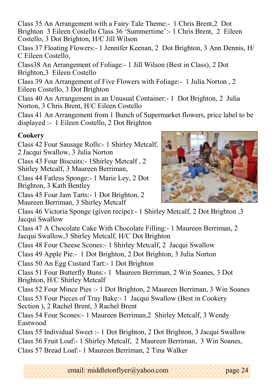Class 35 An Arrangement with a Fairy Tale Theme:- 1 Chris Brent,2 Dot Brighton 3 Eileen Costello Class 36 'Summertime':- 1 Chris Brent, 2 Eileen Costello, 3 Dot Brighton, H/C Jill Wilson

Class 37 Floating Flowers:- 1 Jennifer Keenan, 2 Dot Brighton, 3 Ann Dennis, H/ C Eileen Costello,

Class38 An Arrangement of Foliage:- 1 Jill Wilson (Best in Class), 2 Dot Brighton,3 Eileen Costello

Class 39 An Arrangement of Five Flowers with Foliage:- 1 Julia Norton , 2 Eileen Costello, 3 Dot Brighton

Class 40 An Arrangement in an Unusual Container:- 1 Dot Brighton, 2 Julia Norton, 3 Chris Brent, H/C Eileen Costello

Class 41 An Arrangement from 1 Bunch of Supermarket flowers, price label to be displayed :- 1 Eileen Costello, 2 Dot Brighton

#### **Cookery**

- Class 42 Four Sausage Rolls:- 1 Shirley Metcalf, 2 Jacqui Swallow, 3 Julia Norton
- Class 43 Four Biscuits:- 1Shirley Metcalf , 2 Shirley Metcalf, 3 Maureen Berriman,
- Class 44 Fatless Sponge:- 1 Marie Ley, 2 Dot Brighton, 3 Kath Bentley

Class 45 Four Jam Tarts:- 1 Dot Brighton, 2 Maureen Berriman, 3 Shirley Metcalf



Class 47 A Chocolate Cake With Chocolate Filling:- 1 Maureen Berriman, 2 Jacqui Swallow,3 Shirley Metcalf, H/C Dot Brighton

Class 48 Four Cheese Scones:- 1 Shirley Metcalf, 2 Jacqui Swallow

Class 49 Apple Pie:- 1 Dot Brighton, 2 Dot Brighton, 3 Julia Norton

Class 50 An Egg Custard Tart:- 1 Dot Brighton

Class 51 Four Butterfly Buns:- 1 Maureen Berriman, 2 Win Soanes, 3 Dot Brighton, H/C Shirley Metcalf

Class 52 Four Mince Pies :- 1 Dot Brighton, 2 Maureen Berriman, 3 Win Soanes

Class 53 Four Pieces of Tray Bake:- 1 Jacqui Swallow (Best in Cookery Section ), 2 Rachel Brent, 3 Rachel Brent

Class 54 Four Scones:- 1 Maureen Berriman,2 Shirley Metcalf, 3 Wendy Eastwood

Class 55 Individual Sweet :- 1 Dot Brighton, 2 Dot Brighton, 3 Jacqui Swallow

Class 56 Fruit Loaf:- 1 Shirley Metcalf, 2 Maureen Berriman, 3 Win Soanes,

Class 57 Bread Loaf:- 1 Maureen Berriman, 2 Tina Walker

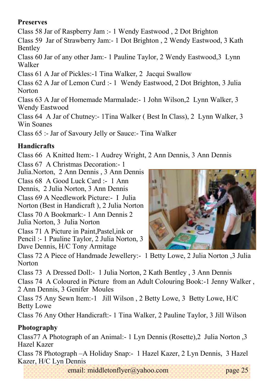#### **Preserves**

Class 58 Jar of Raspberry Jam :- 1 Wendy Eastwood , 2 Dot Brighton

Class 59 Jar of Strawberry Jam:- 1 Dot Brighton , 2 Wendy Eastwood, 3 Kath Bentley

Class 60 Jar of any other Jam:- 1 Pauline Taylor, 2 Wendy Eastwood,3 Lynn Walker

Class 61 A Jar of Pickles:-1 Tina Walker, 2 Jacqui Swallow

Class 62 A Jar of Lemon Curd :- 1 Wendy Eastwood, 2 Dot Brighton, 3 Julia **Norton** 

Class 63 A Jar of Homemade Marmalade:- 1 John Wilson,2 Lynn Walker, 3 Wendy Eastwood

Class 64 A Jar of Chutney:- 1Tina Walker ( Best In Class), 2 Lynn Walker, 3 Win Soanes

Class 65 :- Jar of Savoury Jelly or Sauce:- Tina Walker

#### **Handicrafts**

Class 66 A Knitted Item:- 1 Audrey Wright, 2 Ann Dennis, 3 Ann Dennis

Class 67 A Christmas Decoration:- 1

Julia.Norton, 2 Ann Dennis , 3 Ann Dennis

Class 68 A Good Luck Card :- 1 Ann Dennis, 2 Julia Norton, 3 Ann Dennis

Class 69 A Needlework Picture:- I Julia

Norton (Best in Handicraft ), 2 Julia Norton

Class 70 A Bookmark:- 1 Ann Dennis 2 Julia Norton, 3 Julia Norton

Class 71 A Picture in Paint,Pastel,ink or Pencil :- 1 Pauline Taylor, 2 Julia Norton, 3 Dave Dennis, H/C Tony Armitage



Class 72 A Piece of Handmade Jewellery:- 1 Betty Lowe, 2 Julia Norton ,3 Julia Norton

Class 73 A Dressed Doll:- 1 Julia Norton, 2 Kath Bentley , 3 Ann Dennis

Class 74 A Coloured in Picture from an Adult Colouring Book:-1 Jenny Walker , 2 Ann Dennis, 3 Genifer Moules

Class 75 Any Sewn Item:-1 Jill Wilson , 2 Betty Lowe, 3 Betty Lowe, H/C Betty Lowe

Class 76 Any Other Handicraft:- 1 Tina Walker, 2 Pauline Taylor, 3 Jill Wilson

#### **Photography**

Class77 A Photograph of an Animal:- 1 Lyn Dennis (Rosette),2 Julia Norton ,3 Hazel Kazer

Class 78 Photograph –A Holiday Snap:- 1 Hazel Kazer, 2 Lyn Dennis, 3 Hazel Kazer, H/C Lyn Dennis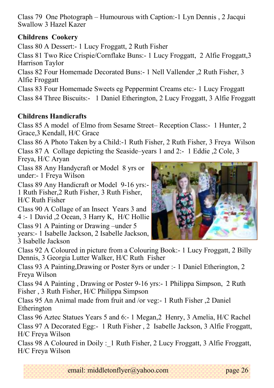Class 79 One Photograph – Humourous with Caption:-1 Lyn Dennis , 2 Jacqui Swallow 3 Hazel Kazer

#### **Childrens Cookery**

Class 80 A Dessert:- 1 Lucy Froggatt, 2 Ruth Fisher

Class 81 Two Rice Crispie/Cornflake Buns:- 1 Lucy Froggatt, 2 Alfie Froggatt,3 Harrison Taylor

Class 82 Four Homemade Decorated Buns:- 1 Nell Vallender ,2 Ruth Fisher, 3 Alfie Froggatt

Class 83 Four Homemade Sweets eg Peppermint Creams etc:- 1 Lucy Froggatt

Class 84 Three Biscuits:- 1 Daniel Etherington, 2 Lucy Froggatt, 3 Alfie Froggatt

#### **Childrens Handicrafts**

Class 85 A model of Elmo from Sesame Street– Reception Class:- 1 Hunter, 2 Grace,3 Kendall, H/C Grace

Class 86 A Photo Taken by a Child:-1 Ruth Fisher, 2 Ruth Fisher, 3 Freya Wilson Class 87 A Collage depicting the Seaside–years 1 and 2:- 1 Eddie ,2 Cole, 3

Freya, H/C Aryan

Class 88 Any Handycraft or Model 8 yrs or under:- 1 Freya Wilson

Class 89 Any Handicraft or Model 9-16 yrs:- 1 Ruth Fisher,2 Ruth Fisher, 3 Ruth Fisher, H/C Ruth Fisher

Class 90 A Collage of an Insect Years 3 and 4 :- 1 David ,2 Ocean, 3 Harry K, H/C Hollie

Class 91 A Painting or Drawing –under 5 years:- 1 Isabelle Jackson, 2 Isabelle Jackson, 3 Isabelle Jackson



Class 92 A Coloured in picture from a Colouring Book:- 1 Lucy Froggatt, 2 Billy Dennis, 3 Georgia Lutter Walker, H/C Ruth Fisher

Class 93 A Painting,Drawing or Poster 8yrs or under :- 1 Daniel Etherington, 2 Freya Wilson

Class 94 A Painting , Drawing or Poster 9-16 yrs:- 1 Philippa Simpson, 2 Ruth Fisher , 3 Ruth Fisher, H/C Philippa Simpson

Class 95 An Animal made from fruit and /or veg:- 1 Ruth Fisher ,2 Daniel Etherington

Class 96 Aztec Statues Years 5 and 6:- 1 Megan,2 Henry, 3 Amelia, H/C Rachel

Class 97 A Decorated Egg:- 1 Ruth Fisher , 2 Isabelle Jackson, 3 Alfie Froggatt, H/C Freya Wilson

Class 98 A Coloured in Doily :\_1 Ruth Fisher, 2 Lucy Froggatt, 3 Alfie Froggatt, H/C Freya Wilson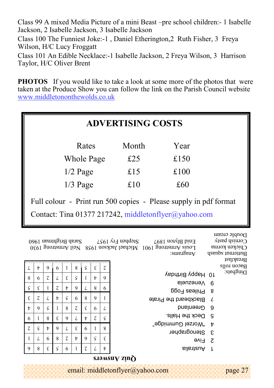Class 99 A mixed Media Picture of a mini Beast –pre school children:- 1 Isabelle Jackson, 2 Isabelle Jackson, 3 Isabelle Jackson

Class 100 The Funniest Joke:-1 , Daniel Etherington,2 Ruth Fisher, 3 Freya Wilson, H/C Lucy Froggatt

Class 101 An Edible Necklace:-1 Isabelle Jackson, 2 Freya Wilson, 3 Harrison Taylor, H/C Oliver Brent

**PHOTOS** If you would like to take a look at some more of the photos that were taken at the Produce Show you can follow the link on the Parish Council website [www.middletononthewolds.co.uk](http://www.middletononthewolds.co.uk)

|                    | <b>ADVERTISING COSTS</b>                                                                                                                                                                                                          |               |                |                |                          |                          |                    |                          |                                                                  |                          |
|--------------------|-----------------------------------------------------------------------------------------------------------------------------------------------------------------------------------------------------------------------------------|---------------|----------------|----------------|--------------------------|--------------------------|--------------------|--------------------------|------------------------------------------------------------------|--------------------------|
|                    | Rates<br>Month<br>Year                                                                                                                                                                                                            |               |                |                |                          |                          |                    |                          |                                                                  |                          |
|                    |                                                                                                                                                                                                                                   |               |                |                | Whole Page               |                          |                    |                          | £25<br>£150                                                      |                          |
|                    |                                                                                                                                                                                                                                   |               |                |                | $1/2$ Page               |                          |                    |                          | £15<br>£100                                                      |                          |
|                    |                                                                                                                                                                                                                                   |               |                |                | $1/3$ Page               |                          |                    |                          | £10<br>£60                                                       |                          |
|                    |                                                                                                                                                                                                                                   |               |                |                |                          |                          |                    |                          | Full colour - Print run 500 copies - Please supply in pdf format |                          |
|                    |                                                                                                                                                                                                                                   |               |                |                |                          |                          |                    |                          | Contact: Tina 01377 217242, middletonflyer@yahoo.com             |                          |
|                    | Double cream<br>$\Omega$ and $\Omega$<br>Stephen Fry 1957 Sarah Brightnan 1960<br>Enid Blyton 1897<br>Louis Armstrong 1901 Michael Jackson 1958 Neil Armstrong 1930<br>Сискеп копта<br>Anagrams:<br>Butternut squash<br>Breakfast |               |                |                |                          |                          |                    |                          |                                                                  |                          |
| L                  | t                                                                                                                                                                                                                                 | 9             | 6              | L              | 8                        | ς                        | $\boldsymbol{\xi}$ | $\overline{\mathcal{C}}$ |                                                                  | Bacon rolls<br>Dingbats: |
| 8                  | 6                                                                                                                                                                                                                                 | τ             | L              | ε              | ς                        | Ţ                        | Þ                  | 9                        | 10 Happy Birthday<br>Venezuela                                   | - 6                      |
| $\varsigma$        | ε                                                                                                                                                                                                                                 | I             | $\overline{c}$ | Þ              | 9                        | L                        | 8                  | 6                        | $8$ Phileas Fogg                                                 |                          |
| $\boldsymbol{\xi}$ | $\overline{c}$                                                                                                                                                                                                                    | L             | $\mathbf{t}$   | $\varsigma$    | 6                        | 8                        | 9                  | $\mathbf{I}$             | Blackbeard the Pirate                                            | $\mathcal{L}$            |
| Þ                  | 9                                                                                                                                                                                                                                 | $\varsigma$   | I              | 8              | $\overline{\mathcal{C}}$ | ε                        | 6                  | L                        | Greenland                                                        | -9                       |
| 6                  | I                                                                                                                                                                                                                                 | 8             | E              | 9              | L                        | t                        | $\overline{c}$     | $\varsigma$              | Deck the Halls.                                                  | ္ခင္                     |
| τ                  | ς                                                                                                                                                                                                                                 | $\frac{1}{2}$ | 9              | L              | $\boldsymbol{\xi}$       | 6                        | $\mathbf I$        | $\,8\,$                  | "berimmules"                                                     | $\mathbf{r}$             |
| I                  | L                                                                                                                                                                                                                                 | 6             | 8              | $\overline{c}$ | Þ                        | 9                        | $\varsigma$        | $\boldsymbol{\epsilon}$  | Stenographer                                                     | ି ସ                      |
| 9                  | 8                                                                                                                                                                                                                                 | ε             | $\varsigma$    | 6              | L                        | $\overline{\mathcal{L}}$ | L                  | Þ                        | 9vi7 <sub>S</sub><br>silistical f                                |                          |
|                    | Quiz Answers                                                                                                                                                                                                                      |               |                |                |                          |                          |                    |                          |                                                                  |                          |
|                    | email: middletonflyer@yahoo.com<br>page 27                                                                                                                                                                                        |               |                |                |                          |                          |                    |                          |                                                                  |                          |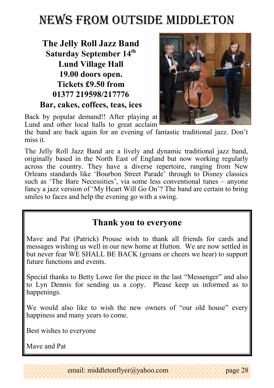# NEWS FROM OUTSIDE MIDDLETON

### **The Jelly Roll Jazz Band Saturday September 14th Lund Village Hall 19.00 doors open. Tickets £9.50 from 01377 219598/217776 Bar, cakes, coffees, teas, ices**



Back by popular demand!! After playing at Lund and other local halls to great acclaim

the band are back again for an evening of fantastic traditional jazz. Don't miss it.

The Jelly Roll Jazz Band are a lively and dynamic traditional jazz band, originally based in the North East of England but now working regularly across the country. They have a diverse repertoire, ranging from New Orleans standards like 'Bourbon Street Parade' through to Disney classics such as 'The Bare Necessities', via some less conventional tunes – anyone fancy a jazz version of 'My Heart Will Go On'? The band are certain to bring smiles to faces and help the evening go with a swing.

### **Thank you to everyone**

Mave and Pat (Patrick) Prouse wish to thank all friends for cards and messages wishing us well in our new home at Hutton. We are now settled in but never fear WE SHALL BE BACK (groans or cheers we hear) to support future functions and events.

Special thanks to Betty Lowe for the piece in the last "Messenger" and also to Lyn Dennis for sending us a copy. Please keep us informed as to happenings.

We would also like to wish the new owners of "our old house" every happiness and many years to come.

Best wishes to everyone

Mave and Pat

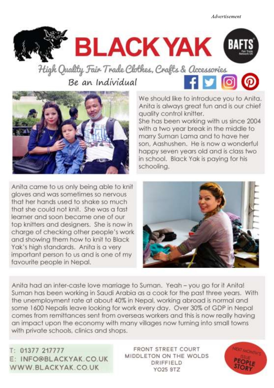*Advertisement*



High Quality Fair Trade Clothes, Crafts & Accessories  $f$ y $\odot$ Be an Individual



We should like to introduce you to Anita. Anita is always areat fun and is our chief quality control knitter.

She has been working with us since 2004 with a two year break in the middle to marry Suman Lama and to have her son, Aashushen. He is now a wonderful happy seven years old and is class two in school. Black Yak is paying for his schooling.

Anita came to us only being able to knit aloves and was sometimes so nervous that her hands used to shake so much that she could not knit. She was a fast learner and soon became one of our top knitters and designers. She is now in charge of checking other people's work and showing them how to knit to Black Yak's high standards. Anita is a very important person to us and is one of my favourite people in Nepal.



Anita had an inter-caste love marriage to Suman. Yeah - you go for it Anita! Suman has been working in Saudi Arabia as a cook for the past three years. With the unemployment rate at about 40% in Nepal, working abroad is normal and some 1600 Nepalis leave looking for work every day. Over 30% of GDP in Nepal comes from remittances sent from overseas workers and this is now really having an impact upon the economy with many villages now turning into small towns with private schools, clinics and shops.

T: 01377 217777 E: INFO@BLACKYAK.CO.UK WWW.BLACKYAK.CO.UK YO25 9TZ

**FRONT STREET COURT** MIDDLETON ON THE WOLDS DRIFFIELD

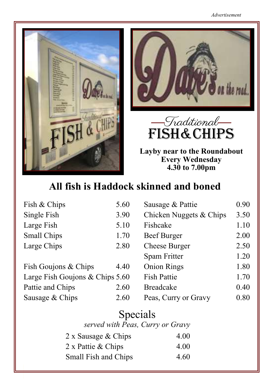





**Layby near to the Roundabout Every Wednesday 4.30 to 7.00pm**

### **All fish is Haddock skinned and boned**

| Fish & Chips                    | 5.60 | Sausage & Pattie        | 0.90 |
|---------------------------------|------|-------------------------|------|
| Single Fish                     | 3.90 | Chicken Nuggets & Chips | 3.50 |
| Large Fish                      | 5.10 | Fishcake                | 1.10 |
| Small Chips                     | 1.70 | Beef Burger             | 2.00 |
| Large Chips                     | 2.80 | <b>Cheese Burger</b>    | 2.50 |
|                                 |      | Spam Fritter            | 1.20 |
| Fish Goujons & Chips            | 4.40 | <b>Onion Rings</b>      | 1.80 |
| Large Fish Goujons & Chips 5.60 |      | <b>Fish Pattie</b>      | 1.70 |
| Pattie and Chips                | 2.60 | <b>Breadcake</b>        | 0.40 |
| Sausage & Chips                 | 2.60 | Peas, Curry or Gravy    | 0.80 |

| Specials<br>served with Peas, Curry or Gravy |      |
|----------------------------------------------|------|
| 2 x Sausage & Chips                          | 4.00 |
| 2 x Pattie & Chips                           | 4.00 |
| Small Fish and Chips                         | 4.60 |

email: middletonflyer@yahoo.com page 30 middletonflyer@yahoo.com page 30 middletonflyer@yahoo.com page 30 middl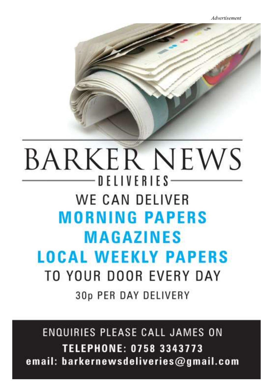# **BARKER NEWS**  $-$  D F L I V F R I F S  $-$ WE CAN DELIVER **MORNING PAPERS MAGAZINES LOCAL WEEKLY PAPERS** TO YOUR DOOR EVERY DAY 30p PER DAY DELIVERY

**ENQUIRIES PLEASE CALL JAMES ON TELEPHONE: 0758 3343773** email: barkernewsdeliveries@gmail.com